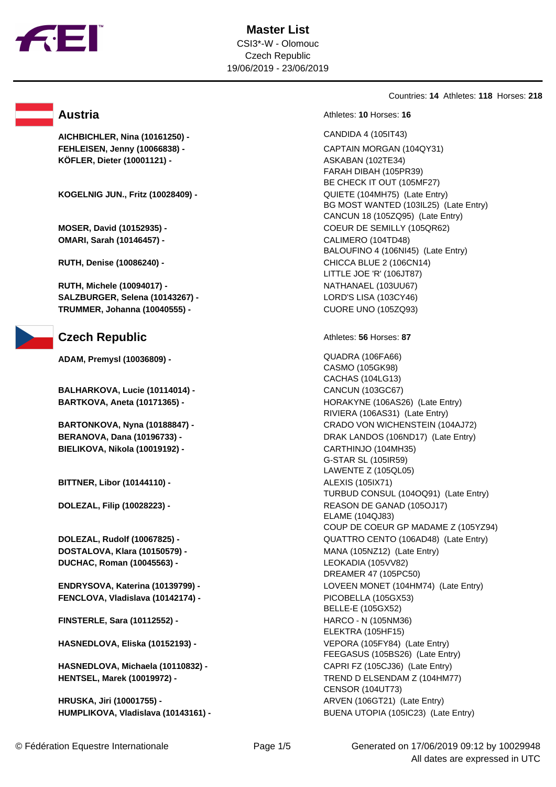

**AICHBICHLER, Nina (10161250) -** CANDIDA 4 (105IT43) **FEHLEISEN, Jenny (10066838) -** CAPTAIN MORGAN (104QY31) **KÖFLER, Dieter (10001121) -** ASKABAN (102TE34)

**KOGELNIG JUN., Fritz (10028409) -** QUIETE (104MH75) (Late Entry)

**OMARI, Sarah (10146457) -** CALIMERO (104TD48)

**RUTH, Michele (10094017) -** NATHANAEL (103UU67) **SALZBURGER, Selena (10143267) -** LORD'S LISA (103CY46) **TRUMMER, Johanna (10040555) -** CUORE UNO (105ZQ93)

### **Czech Republic** Athletes: **56** Horses: 87

**ADAM, Premysl (10036809) -** QUADRA (106FA66)

**BALHARKOVA, Lucie (10114014) -** CANCUN (103GC67)

**BIELIKOVA, Nikola (10019192) -** CARTHINJO (104MH35)

**BITTNER, Libor (10144110) -**  ALEXIS (1051X71)

**DOSTALOVA, Klara (10150579) -** MANA (105NZ12) (Late Entry) **DUCHAC, Roman (10045563) -** LEOKADIA (105VV82)

**FENCLOVA, Vladislava (10142174) -** PICOBELLA (105GX53)

**FINSTERLE, Sara (10112552) -** HARCO - N (105NM36)

**HASNEDLOVA, Eliska (10152193) -** VEPORA (105FY84) (Late Entry)

**HASNEDLOVA, Michaela (10110832) -** CAPRI FZ (105CJ36) (Late Entry) **HENTSEL, Marek (10019972) -** TREND D ELSENDAM Z (104HM77)

**HRUSKA, Jiri (10001755) -** ARVEN (106GT21) (Late Entry) **HUMPLIKOVA, Vladislava (10143161) -** BUENA UTOPIA (105IC23) (Late Entry)

Countries: **14** Athletes: **118** Horses: **218**

**Austria Austria Austria Athletes: 10** Horses: 16

FARAH DIBAH (105PR39) BE CHECK IT OUT (105MF27) BG MOST WANTED (103IL25) (Late Entry) CANCUN 18 (105ZQ95) (Late Entry) **MOSER, David (10152935) -** COEUR DE SEMILLY (105QR62) BALOUFINO 4 (106NI45) (Late Entry) **RUTH, Denise (10086240) -** CHICCA BLUE 2 (106CN14) LITTLE JOE 'R' (106JT87)

CASMO (105GK98) CACHAS (104LG13) **BARTKOVA, Aneta (10171365) -** HORAKYNE (106AS26) (Late Entry) RIVIERA (106AS31) (Late Entry) **BARTONKOVA, Nyna (10188847) -** CRADO VON WICHENSTEIN (104AJ72) **BERANOVA, Dana (10196733) -** DRAK LANDOS (106ND17) (Late Entry) G-STAR SL (105IR59) LAWENTE Z (105QL05) TURBUD CONSUL (104OQ91) (Late Entry) **DOLEZAL, Filip (10028223) -** REASON DE GANAD (105OJ17) ELAME (104QJ83) COUP DE COEUR GP MADAME Z (105YZ94) **DOLEZAL, Rudolf (10067825) -** QUATTRO CENTO (106AD48) (Late Entry) DREAMER 47 (105PC50) **ENDRYSOVA, Katerina (10139799) -** LOVEEN MONET (104HM74) (Late Entry) BELLE-E (105GX52) ELEKTRA (105HF15) FEEGASUS (105BS26) (Late Entry) CENSOR (104UT73)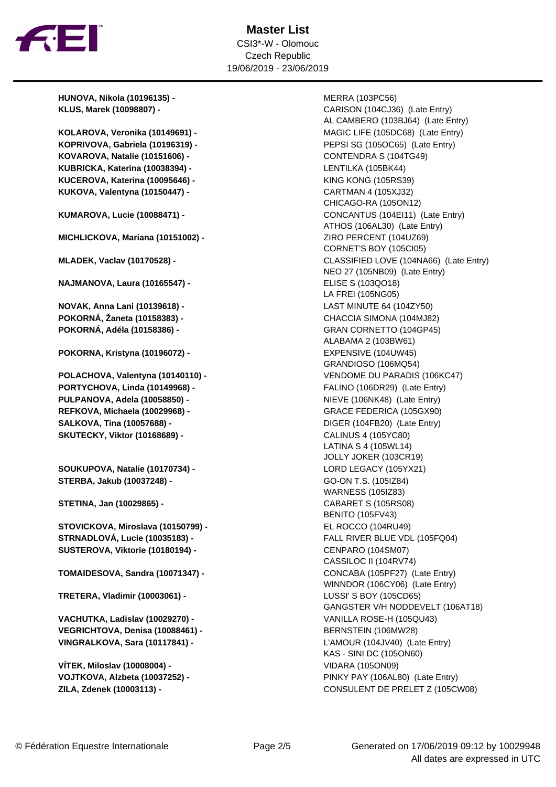

## **Master List** CSI3\*-W - Olomouc Czech Republic 19/06/2019 - 23/06/2019

**HUNOVA, Nikola (10196135) -** MERRA (103PC56)

**KOPRIVOVA, Gabriela (10196319) -** PEPSI SG (105OC65) (Late Entry) **KOVAROVA, Natalie (10151606) -** CONTENDRA S (104TG49) **KUBRICKA, Katerina (10038394) -** LENTILKA (105BK44) **KUCEROVA, Katerina (10095646) -** KING KONG (105RS39) **KUKOVA, Valentyna (10150447) -** CARTMAN 4 (105XJ32)

**MICHLICKOVA, Mariana (10151002) -** ZIRO PERCENT (104UZ69)

**NAJMANOVA, Laura (10165547) -** ELISE S (103QO18)

**NOVAK, Anna Lani (10139618) -** LAST MINUTE 64 (104ZY50) **POKORNÁ, Žaneta (10158383) -** CHACCIA SIMONA (104MJ82) **POKORNÁ, Adéla (10158386) -** GRAN CORNETTO (104GP45)

**POKORNA, Kristyna (10196072) -** EXPENSIVE (104UW45)

**PORTYCHOVA, Linda (10149968) -** FALINO (106DR29) (Late Entry) **PULPANOVA, Adela (10058850) -** NIEVE (106NK48) (Late Entry) **REFKOVA, Michaela (10029968) -** GRACE FEDERICA (105GX90) **SALKOVA, Tina (10057688) -** DIGER (104FB20) (Late Entry) **SKUTECKY, Viktor (10168689) -** CALINUS 4 (105YC80)

**SOUKUPOVA, Natalie (10170734) -** LORD LEGACY (105YX21) **STERBA, Jakub (10037248) -** GO-ON T.S. (105IZ84)

**STETINA, Jan (10029865) -** CABARET S (105RS08)

**STOVICKOVA, Miroslava (10150799) -** EL ROCCO (104RU49) **STRNADLOVÁ, Lucie (10035183) -** FALL RIVER BLUE VDL (105FQ04) **SUSTEROVA, Viktorie (10180194) -** CENPARO (104SM07)

**TOMAIDESOVA, Sandra (10071347) -** CONCABA (105PF27) (Late Entry)

**TRETERA, Vladimir (10003061) -** LUSSI' S BOY (105CD65)

**VACHUTKA, Ladislav (10029270) -** VANILLA ROSE-H (105QU43) **VEGRICHTOVA, Denisa (10088461) -** BERNSTEIN (106MW28) **VINGRALKOVA, Sara (10117841) -** L'AMOUR (104JV40) (Late Entry)

**VÍTEK, Miloslav (10008004) -** VIDARA (105ON09)

**KLUS, Marek (10098807) -** CARISON (104CJ36) (Late Entry) AL CAMBERO (103BJ64) (Late Entry) KOLAROVA, Veronika (10149691) - **MAGIC LIFE (105DC68)** (Late Entry) CHICAGO-RA (105ON12) **KUMAROVA, Lucie (10088471) -** CONCANTUS (104EI11) (Late Entry) ATHOS (106AL30) (Late Entry) CORNET'S BOY (105CI05) **MLADEK, Vaclav (10170528) -** CLASSIFIED LOVE (104NA66) (Late Entry) NEO 27 (105NB09) (Late Entry) LA FREI (105NG05) ALABAMA 2 (103BW61) GRANDIOSO (106MQ54) **POLACHOVA, Valentyna (10140110) -** VENDOME DU PARADIS (106KC47) LATINA S 4 (105WL14) JOLLY JOKER (103CR19) WARNESS (105IZ83) BENITO (105FV43) CASSILOC II (104RV74) WINNDOR (106CY06) (Late Entry) GANGSTER V/H NODDEVELT (106AT18) KAS - SINI DC (105ON60) **VOJTKOVA, Alzbeta (10037252) -** PINKY PAY (106AL80) (Late Entry) **ZILA, Zdenek (10003113) -** CONSULENT DE PRELET Z (105CW08)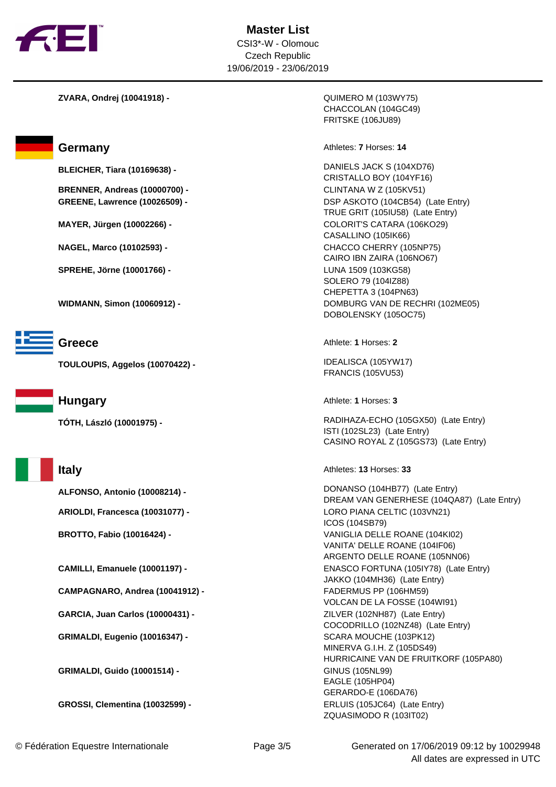

**ZVARA, Ondrej (10041918) -** QUIMERO M (103WY75)

**BRENNER, Andreas (10000700) -** CLINTANA W Z (105KV51)

**SPREHE, Jörne (10001766) -** LUNA 1509 (103KG58)



**TOULOUPIS, Aggelos (10070422) -** IDEALISCA (105YW17)



**CAMPAGNARO, Andrea (10041912) -** FADERMUS PP (106HM59)

**GARCIA, Juan Carlos (10000431) -** ZILVER (102NH87) (Late Entry)

**GRIMALDI, Eugenio (10016347) -** SCARA MOUCHE (103PK12)

**GRIMALDI, Guido (10001514) -**   $\qquad \qquad$  GINUS (105NL99)

**GROSSI, Clementina (10032599) -** ERLUIS (105JC64) (Late Entry)

CHACCOLAN (104GC49) FRITSKE (106JU89)

**Germany Athletes: 7** Horses: 14

**BLEICHER, Tiara (10169638) -** DANIELS JACK S (104XD76) CRISTALLO BOY (104YF16) **GREENE, Lawrence (10026509) -** DSP ASKOTO (104CB54) (Late Entry) TRUE GRIT (105IU58) (Late Entry) **MAYER, Jürgen (10002266) -** COLORIT'S CATARA (106KO29) CASALLINO (105IK66) **NAGEL, Marco (10102593) -** CHACCO CHERRY (105NP75) CAIRO IBN ZAIRA (106NO67) SOLERO 79 (104IZ88) CHEPETTA 3 (104PN63) **WIDMANN, Simon (10060912) -** DOMBURG VAN DE RECHRI (102ME05) DOBOLENSKY (105OC75)

**Greece** Athlete: **1** Horses: **2** 

FRANCIS (105VU53)

**Hungary Athlete: 1** Horses: 3

**TÓTH, László (10001975) -** RADIHAZA-ECHO (105GX50) (Late Entry) ISTI (102SL23) (Late Entry) CASINO ROYAL Z (105GS73) (Late Entry)

**Italy** Athletes: **13** Horses: **33** 

**ALFONSO, Antonio (10008214) -** DONANSO (104HB77) (Late Entry) DREAM VAN GENERHESE (104QA87) (Late Entry) **ARIOLDI, Francesca (10031077) -** LORO PIANA CELTIC (103VN21) ICOS (104SB79) **BROTTO, Fabio (10016424) -** VANIGLIA DELLE ROANE (104KI02) VANITA' DELLE ROANE (104IF06) ARGENTO DELLE ROANE (105NN06) **CAMILLI, Emanuele (10001197) -** ENASCO FORTUNA (105IY78) (Late Entry) JAKKO (104MH36) (Late Entry) VOLCAN DE LA FOSSE (104WI91) COCODRILLO (102NZ48) (Late Entry) MINERVA G.I.H. Z (105DS49) HURRICAINE VAN DE FRUITKORF (105PA80) EAGLE (105HP04) GERARDO-E (106DA76) ZQUASIMODO R (103IT02)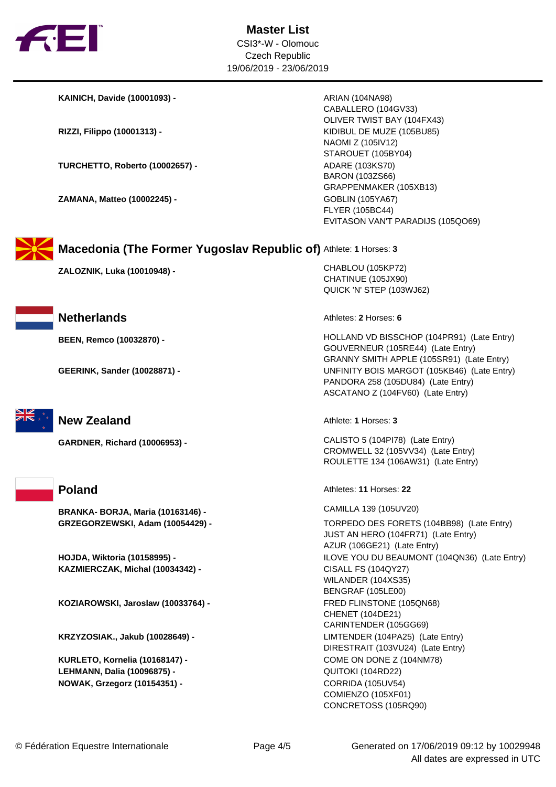

**KAINICH, Davide (10001093) -** ARIAN (104NA98)

**TURCHETTO, Roberto (10002657) - <br>ADARE (103KS70)** 

**ZAMANA, Matteo (10002245) - <br>GOBLIN (105YA67)** 

CABALLERO (104GV33) OLIVER TWIST BAY (104FX43) **RIZZI, Filippo (10001313) -** KIDIBUL DE MUZE (105BU85) NAOMI Z (105IV12) STAROUET (105BY04) BARON (103ZS66) GRAPPENMAKER (105XB13) FLYER (105BC44) EVITASON VAN'T PARADIJS (105QO69)



**Macedonia (The Former Yugoslav Republic of)** Athlete: **1** Horses: **3**

**ZALOZNIK, Luka (10010948) -** CHABLOU (105KP72)







**BRANKA- BORJA, Maria (10163146) -** CAMILLA 139 (105UV20)

**KAZMIERCZAK, Michal (10034342) -** CISALL FS (104QY27)

**KOZIAROWSKI, Jaroslaw (10033764) -** FRED FLINSTONE (105QN68)

**KURLETO, Kornelia (10168147) -** COME ON DONE Z (104NM78) **LEHMANN, Dalia (10096875) -** QUITOKI (104RD22) **NOWAK, Grzegorz (10154351) -** CORRIDA (105UV54)

QUICK 'N' STEP (103WJ62)

**Netherlands Athletes: 2** Horses: **6** 

CHATINUE (105JX90)

**BEEN, Remco (10032870) -** HOLLAND VD BISSCHOP (104PR91) (Late Entry) GOUVERNEUR (105RE44) (Late Entry) GRANNY SMITH APPLE (105SR91) (Late Entry) **GEERINK, Sander (10028871) -** UNFINITY BOIS MARGOT (105KB46) (Late Entry) PANDORA 258 (105DU84) (Late Entry) ASCATANO Z (104FV60) (Late Entry)

**New Zealand Athlete: 1** Horses: 3

**GARDNER, Richard (10006953) -** CALISTO 5 (104PI78) (Late Entry) CROMWELL 32 (105VV34) (Late Entry) ROULETTE 134 (106AW31) (Late Entry)

**Poland** Athletes: **11** Horses: **22** 

**GRZEGORZEWSKI, Adam (10054429) -** TORPEDO DES FORETS (104BB98) (Late Entry) JUST AN HERO (104FR71) (Late Entry) AZUR (106GE21) (Late Entry) **HOJDA, Wiktoria (10158995) -** ILOVE YOU DU BEAUMONT (104QN36) (Late Entry) WILANDER (104XS35) BENGRAF (105LE00) CHENET (104DE21) CARINTENDER (105GG69) **KRZYZOSIAK., Jakub (10028649) -** LIMTENDER (104PA25) (Late Entry) DIRESTRAIT (103VU24) (Late Entry) COMIENZO (105XF01) CONCRETOSS (105RQ90)